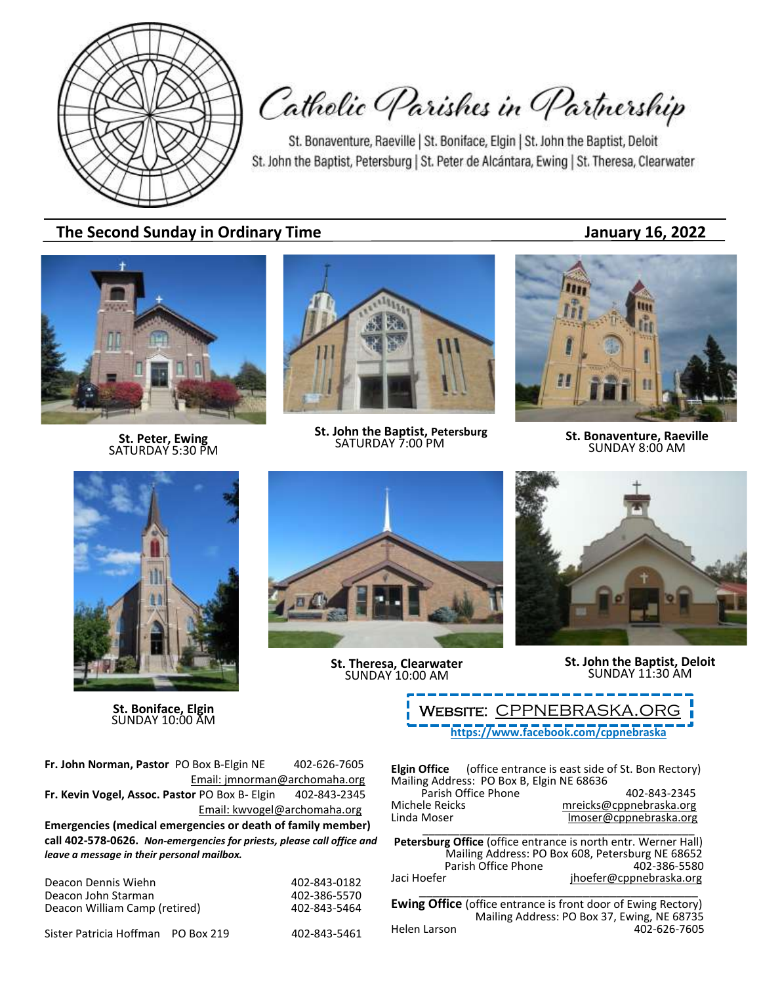

Catholic Parishes in Partnership

St. Bonaventure, Raeville | St. Boniface, Elgin | St. John the Baptist, Deloit St. John the Baptist, Petersburg | St. Peter de Alcántara, Ewing | St. Theresa, Clearwater

# **The Second Sunday in Ordinary Time January 16, 2022**

**St. Peter, Ewing** SATURDAY 5:30 PM



**St. John the Baptist, Petersburg**<br>SATURDAY 7:00 PM



**SATURDAY 7:00 PM St. Bonaventure, Raeville**<br>SATURDAY 7:00 PM **SUNDAY 8:00 AM** 



**St. Boniface, Elgin** SUNDAY 10:00 AM



**St. Theresa, Clearwater** SUNDAY 10:00 AM



**St. John the Baptist, Deloit** SUNDAY 11:30 AM

**<https://www.facebook.com/cppnebraska>** WEBSITE: CPPNEBRASKA.OF

**Fr. John Norman, Pastor** PO Box B-Elgin NE 402-626-7605 Email: jmnorman@archomaha.org **Fr. Kevin Vogel, Assoc. Pastor** PO Box B- Elgin 402-843-2345 Email: [kwvogel@archomaha.org](mailto:kwvogel@archomaha.org) **Emergencies (medical emergencies or death of family member) call 402-578-0626.** *Non-emergencies for priests, please call office and* 

*leave a message in their personal mailbox.*

Deacon Dennis Wiehn 1988 1991 12:386-843-0182<br>Deacon John Starman 1992 12:402-386-5570 Deacon John Starman 1988 (1998)<br>Deacon William Camp (retired) 1992-843-5464 Deacon William Camp (retired)

Sister Patricia Hoffman PO Box 219 402-843-5461

**Elgin Office** (office entrance is east side of St. Bon Rectory) Mailing Address: PO Box B, Elgin NE 68636 Parish Office Phone 402-843-2345<br>mreicks@cppnebraska.org metalsone Michele Reicks<br>
Linda Moser material moser@cppnebraska.org<br>
Imoser@cppnebraska.org Imoser@cppnebraska.org \_\_\_\_\_\_\_\_\_\_\_\_\_\_\_\_\_\_\_\_\_\_\_\_\_\_\_\_\_\_\_\_\_\_\_\_\_\_\_\_\_\_\_\_

**Petersburg Office** (office entrance is north entr. Werner Hall) Mailing Address: PO Box 608, Petersburg NE 68652 Parish Office Phone Jaci Hoefer in the interface in the jhoefer@cppnebraska.org \_\_\_\_\_\_\_\_\_\_\_\_\_\_\_\_\_\_\_\_\_\_\_\_\_\_\_\_\_\_\_\_\_\_\_\_\_\_\_\_\_

**Ewing Office** (office entrance is front door of Ewing Rectory) Mailing Address: PO Box 37, Ewing, NE 68735<br>Helen Larson 402-626-7605 402-626-7605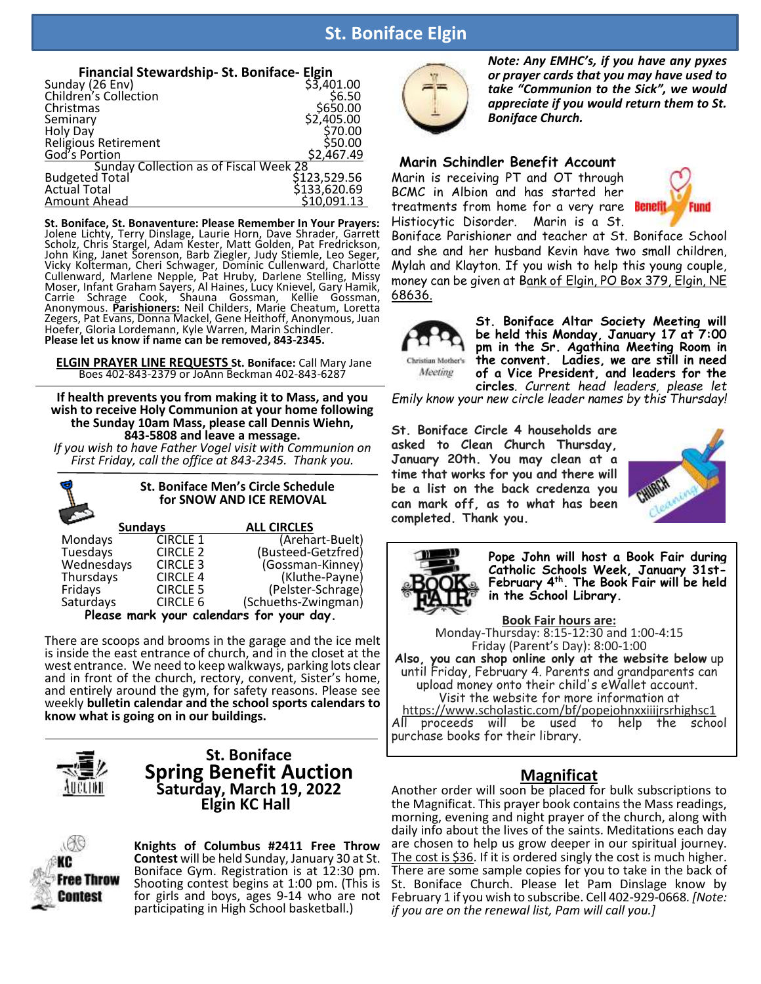# **St. Boniface Elgin**

| Financial Stewardship- St. Boniface- Elgin    |              |
|-----------------------------------------------|--------------|
| Sunday (26 Env)<br>Children's Collection      | \$3,401.00   |
|                                               | \$6.50       |
| Christmas                                     | \$650.00     |
| Seminary                                      | \$2,405.00   |
| Holy Day                                      | \$70.00      |
| Religious Retirement                          | \$50.00      |
| God's Portion                                 | \$2,467.49   |
| <b>Sunday Collection as of Fiscal Week 28</b> |              |
| <b>Budgeted Total</b>                         | \$123,529.56 |
| <b>Actual Total</b>                           | \$133,620.69 |
| <b>Amount Ahead</b>                           | \$10,091.13  |
|                                               |              |

**St. Boniface, St. Bonaventure: Please Remember In Your Prayers:** Jolene Lichty, Terry Dinslage, Laurie Horn, Dave Shrader, Garrett Scholz, Chris Stargel, Adam Kester, Matt Golden, Pat Fredrickson, John King, Janet Sorenson, Barb Ziegler, Judy Stiemle, Leo Seger, Vicky Kolterman, Cheri Schwager, Dominic Cullenward, Charlotte Cullenward, Marlene Nepple, Pat Hruby, Darlene Stelling, Missy Moser, Infant Graham Sayers, Al Haines, Lucy Knievel, Gary Hamik, Carrie Schrage Cook, Shauna Gossman, Kellie Gossman, Anonymous. **Parishioners:** Neil Childers, Marie Cheatum, Loretta Zegers, Pat Evans, Donna Mackel, Gene Heithoff, Anonymous, Juan Hoefer, Gloria Lordemann, Kyle Warren, Marin Schindler. **Please let us know if name can be removed, 843-2345.**

**ELGIN PRAYER LINE REQUESTS St. Boniface:** Call Mary Jane Boes 402-843-2379 or JoAnn Beckman 402-843-6287

**If health prevents you from making it to Mass, and you wish to receive Holy Communion at your home following the Sunday 10am Mass, please call Dennis Wiehn, 843-5808 and leave a message.** 

*If you wish to have Father Vogel visit with Communion on First Friday, call the office at 843-2345. Thank you.* 

| <b>St. Boniface Men's Circle Schedule</b><br>for SNOW AND ICE REMOVAL |                 |                     |  |  |  |
|-----------------------------------------------------------------------|-----------------|---------------------|--|--|--|
|                                                                       | <b>Sundays</b>  | <b>ALL CIRCLES</b>  |  |  |  |
| Mondays                                                               | <b>CIRCLE 1</b> | (Arehart-Buelt)     |  |  |  |
| Tuesdays                                                              | <b>CIRCLE 2</b> | (Busteed-Getzfred)  |  |  |  |
|                                                                       | <b>CIRCLE 3</b> | (Gossman-Kinney)    |  |  |  |
| Thursdays                                                             | <b>CIRCLE 4</b> | (Kluthe-Payne)      |  |  |  |
| Fridays                                                               | <b>CIRCLE 5</b> | (Pelster-Schrage)   |  |  |  |
| Saturdays                                                             | <b>CIRCLE 6</b> | (Schueths-Zwingman) |  |  |  |
| Wednesdays                                                            |                 |                     |  |  |  |

 **Please mark your calendars for your day.**

There are scoops and brooms in the garage and the ice melt is inside the east entrance of church, and in the closet at the west entrance. We need to keep walkways, parking lots clear and in front of the church, rectory, convent, Sister's home, and entirely around the gym, for safety reasons. Please see weekly **bulletin calendar and the school sports calendars to know what is going on in our buildings.**



### **St. Boniface Spring Benefit Auction Saturday, March 19, 2022 Elgin KC Hall**

ree Throw Contest

**Knights of Columbus #2411 Free Throw Contest** will be held Sunday, January 30 at St. Boniface Gym. Registration is at 12:30 pm. Shooting contest begins at 1:00 pm. (This is for girls and boys, ages 9-14 who are not participating in High School basketball.)



*Note: Any EMHC's, if you have any pyxes or prayer cards that you may have used to take "Communion to the Sick", we would appreciate if you would return them to St. Boniface Church.*

### **Marin Schindler Benefit Account**

Marin is receiving PT and OT through BCMC in Albion and has started her treatments from home for a very rare **Benet** Histiocytic Disorder. Marin is a St.



Boniface Parishioner and teacher at St. Boniface School and she and her husband Kevin have two small children, Mylah and Klayton. If you wish to help this young couple, money can be given at Bank of Elgin, PO Box 379, Elgin, NE 68636.



Meeting

**St. Boniface Altar Society Meeting will be held this Monday, January 17 at 7:00 pm in the Sr. Agathina Meeting Room in the convent. Ladies, we are still in need of a Vice President, and leaders for the circles***. Current head leaders, please let* 

*Emily know your new circle leader names by this Thursday!*

**St. Boniface Circle 4 households are asked to Clean Church Thursday, January 20th. You may clean at a time that works for you and there will be a list on the back credenza you can mark off, as to what has been completed. Thank you.**





**Pope John will host a Book Fair during Catholic Schools Week, January 31st-February 4 th . The Book Fair will be held in the School Library.**

**Book Fair hours are:** Monday-Thursday: 8:15-12:30 and 1:00-4:15 Friday (Parent's Day): 8:00-1:00 **Also, you can shop online only at the website below** up until Friday, February 4. Parents and grandparents can upload money onto their child's eWallet account. Visit the website for more information at https://www.scholastic.com/bf/popejohnxxiiijrsrhighsc1 All proceeds will be used to help the school purchase books for their library.

### **Magnificat**

Another order will soon be placed for bulk subscriptions to the Magnificat. This prayer book contains the Mass readings, morning, evening and night prayer of the church, along with daily info about the lives of the saints. Meditations each day are chosen to help us grow deeper in our spiritual journey. The cost is \$36. If it is ordered singly the cost is much higher. There are some sample copies for you to take in the back of St. Boniface Church. Please let Pam Dinslage know by February 1 if you wish to subscribe. Cell 402-929-0668*. [Note: if you are on the renewal list, Pam will call you.]*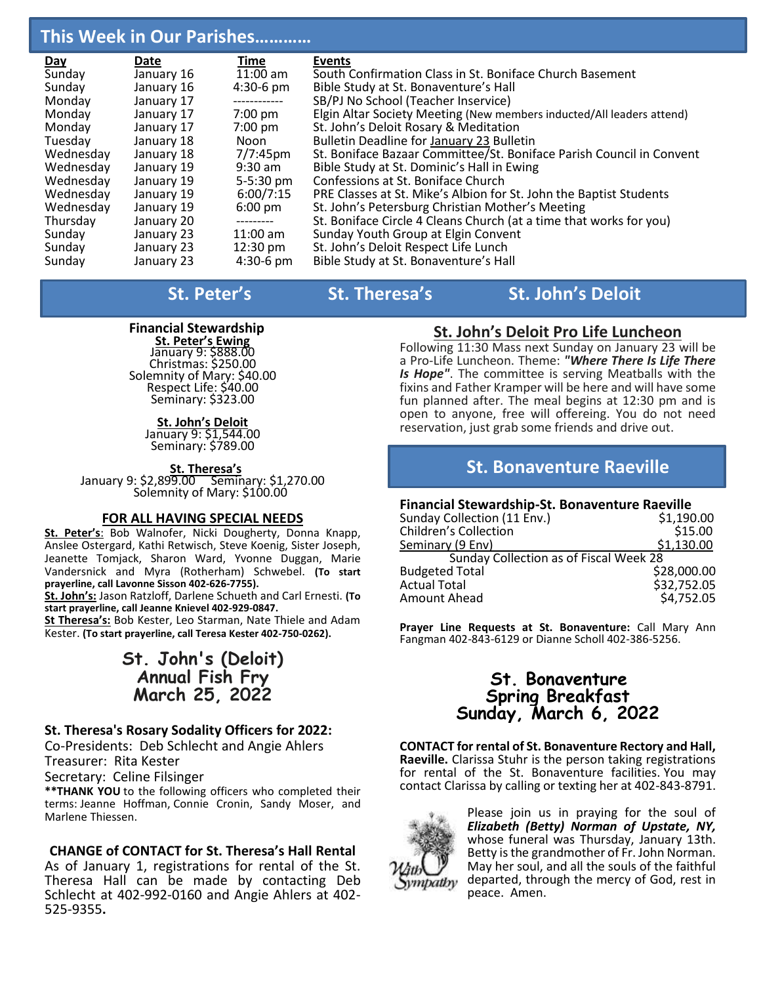# **This Week in Our Parishes…………**

| Day       | Date       | Time               | <b>Events</b>                                                         |
|-----------|------------|--------------------|-----------------------------------------------------------------------|
| Sunday    | January 16 | $11:00$ am         | South Confirmation Class in St. Boniface Church Basement              |
| Sunday    | January 16 | $4:30-6$ pm        | Bible Study at St. Bonaventure's Hall                                 |
| Monday    | January 17 | ------------       | SB/PJ No School (Teacher Inservice)                                   |
| Monday    | January 17 | $7:00$ pm          | Elgin Altar Society Meeting (New members inducted/All leaders attend) |
| Monday    | January 17 | $7:00$ pm          | St. John's Deloit Rosary & Meditation                                 |
| Tuesday   | January 18 | Noon               | Bulletin Deadline for January 23 Bulletin                             |
| Wednesday | January 18 | $7/7:45$ pm        | St. Boniface Bazaar Committee/St. Boniface Parish Council in Convent  |
| Wednesday | January 19 | $9:30$ am          | Bible Study at St. Dominic's Hall in Ewing                            |
| Wednesday | January 19 | $5 - 5:30$ pm      | Confessions at St. Boniface Church                                    |
| Wednesday | January 19 | 6:00/7:15          | PRE Classes at St. Mike's Albion for St. John the Baptist Students    |
| Wednesday | January 19 | $6:00 \text{ pm}$  | St. John's Petersburg Christian Mother's Meeting                      |
| Thursday  | January 20 | ---------          | St. Boniface Circle 4 Cleans Church (at a time that works for you)    |
| Sunday    | January 23 | $11:00$ am         | Sunday Youth Group at Elgin Convent                                   |
| Sunday    | January 23 | $12:30 \text{ pm}$ | St. John's Deloit Respect Life Lunch                                  |
| Sunday    | January 23 | $4:30-6$ pm        | Bible Study at St. Bonaventure's Hall                                 |

**St.** Peter's St. Theresa's St. John's Deloit

### **Financial Stewardship**

**St. Peter's Ewing**  January 9: \$888.00 Christmas: \$250.00 Solemnity of Mary: \$40.00 Respect Life: \$40.00 Seminary: \$323.00

> **St. John's Deloit** January 9: \$1,544.00 Seminary: \$789.00

 **St. Theresa's** January 9: \$2,899.00 Seminary: \$1,270.00 Solemnity of Mary: \$100.00

### **FOR ALL HAVING SPECIAL NEEDS**

**St. Peter's**: Bob Walnofer, Nicki Dougherty, Donna Knapp, Anslee Ostergard, Kathi Retwisch, Steve Koenig, Sister Joseph, Jeanette Tomjack, Sharon Ward, Yvonne Duggan, Marie Vandersnick and Myra (Rotherham) Schwebel. **(To start prayerline, call Lavonne Sisson 402-626-7755).**

**St. John's:** Jason Ratzloff, Darlene Schueth and Carl Ernesti. **(To start prayerline, call Jeanne Knievel 402-929-0847.**

**St Theresa's:** Bob Kester, Leo Starman, Nate Thiele and Adam Kester. **(To start prayerline, call Teresa Kester 402-750-0262).**

# **St. John's (Deloit) Annual Fish Fry March 25, 2022**

### **St. Theresa's Rosary Sodality Officers for 2022:**

Co-Presidents: Deb Schlecht and Angie Ahlers Treasurer: Rita Kester

Secretary: Celine Filsinger

**\*\*THANK YOU** to the following officers who completed their terms: Jeanne Hoffman, Connie Cronin, Sandy Moser, and Marlene Thiessen.

### **CHANGE of CONTACT for St. Theresa's Hall Rental**

As of January 1, registrations for rental of the St. Theresa Hall can be made by contacting Deb Schlecht at 402-992-0160 and Angie Ahlers at 402- 525-9355**.**

# **St. John's Deloit Pro Life Luncheon**

Following 11:30 Mass next Sunday on January 23 will be a Pro-Life Luncheon. Theme: *"Where There Is Life There Is Hope"*. The committee is serving Meatballs with the fixins and Father Kramper will be here and will have some fun planned after. The meal begins at 12:30 pm and is open to anyone, free will offereing. You do not need reservation, just grab some friends and drive out.

# **St. Bonaventure Raeville**

### **Financial Stewardship-St. Bonaventure Raeville**

| Sunday Collection (11 Env.)            | \$1,190.00  |
|----------------------------------------|-------------|
| <b>Children's Collection</b>           | \$15.00     |
| Seminary (9 Env)                       | \$1,130.00  |
| Sunday Collection as of Fiscal Week 28 |             |
| <b>Budgeted Total</b>                  | \$28,000.00 |
| <b>Actual Total</b>                    | \$32,752.05 |
| Amount Ahead                           | \$4,752.05  |
|                                        |             |

**Prayer Line Requests at St. Bonaventure:** Call Mary Ann Fangman 402-843-6129 or Dianne Scholl 402-386-5256.

## **St. Bonaventure Spring Breakfast Sunday, March 6, 2022**

**CONTACT for rental of St. Bonaventure Rectory and Hall, Raeville.** Clarissa Stuhr is the person taking registrations for rental of the St. Bonaventure facilities. You may contact Clarissa by calling or texting her at 402-843-8791.



Please join us in praying for the soul of *Elizabeth (Betty) Norman of Upstate, NY,*  whose funeral was Thursday, January 13th. Betty is the grandmother of Fr. John Norman. May her soul, and all the souls of the faithful departed, through the mercy of God, rest in peace. Amen.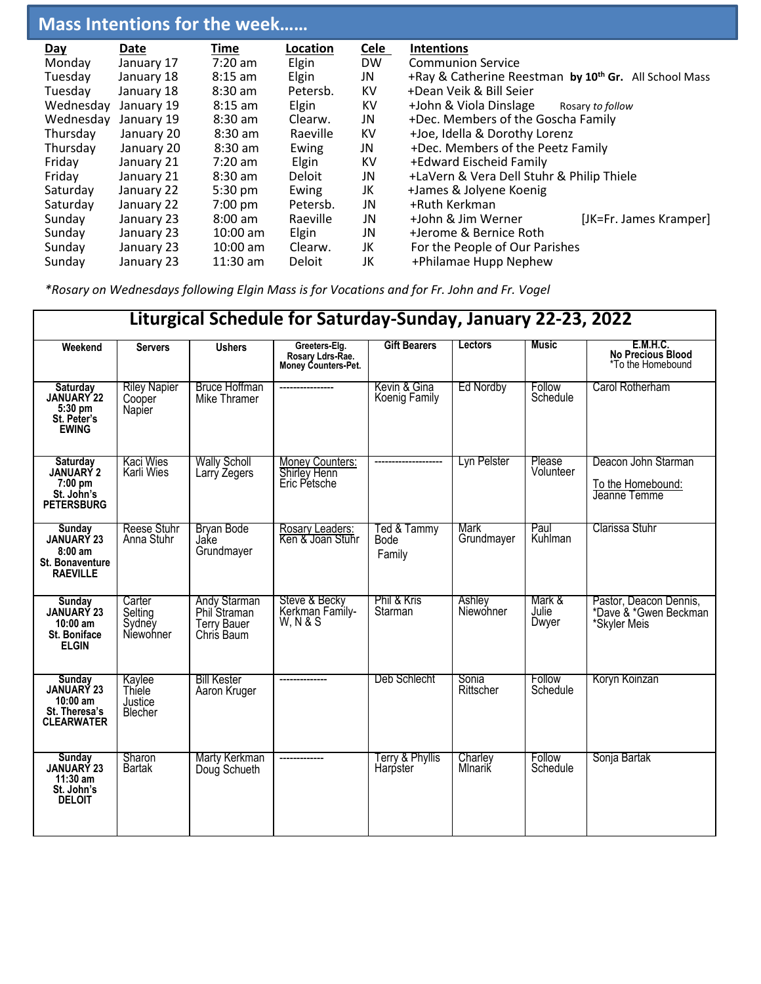# **Mass Intentions for the week……**

| Day       | Date       | Time       | Location | <b>Cele</b> | <b>Intentions</b>                                                 |  |  |
|-----------|------------|------------|----------|-------------|-------------------------------------------------------------------|--|--|
| Monday    | January 17 | 7:20 am    | Elgin    | <b>DW</b>   | <b>Communion Service</b>                                          |  |  |
| Tuesday   | January 18 | $8:15$ am  | Elgin    | JN          | +Ray & Catherine Reestman by 10 <sup>th</sup> Gr. All School Mass |  |  |
| Tuesday   | January 18 | $8:30$ am  | Petersb. | KV          | +Dean Veik & Bill Seier                                           |  |  |
| Wednesday | January 19 | $8:15$ am  | Elgin    | KV          | +John & Viola Dinslage<br>Rosary to follow                        |  |  |
| Wednesday | January 19 | $8:30$ am  | Clearw.  | JN          | +Dec. Members of the Goscha Family                                |  |  |
| Thursday  | January 20 | $8:30$ am  | Raeville | KV          | +Joe, Idella & Dorothy Lorenz                                     |  |  |
| Thursday  | January 20 | $8:30$ am  | Ewing    | JN          | +Dec. Members of the Peetz Family                                 |  |  |
| Friday    | January 21 | $7:20$ am  | Elgin    | KV          | +Edward Eischeid Family                                           |  |  |
| Friday    | January 21 | $8:30$ am  | Deloit   | JN          | +LaVern & Vera Dell Stuhr & Philip Thiele                         |  |  |
| Saturday  | January 22 | 5:30 pm    | Ewing    | JK          | +James & Jolyene Koenig                                           |  |  |
| Saturday  | January 22 | $7:00$ pm  | Petersb. | JN          | +Ruth Kerkman                                                     |  |  |
| Sunday    | January 23 | $8:00$ am  | Raeville | JN          | +John & Jim Werner<br>[JK=Fr. James Kramper]                      |  |  |
| Sunday    | January 23 | $10:00$ am | Elgin    | JN          | +Jerome & Bernice Roth                                            |  |  |
| Sunday    | January 23 | $10:00$ am | Clearw.  | JK          | For the People of Our Parishes                                    |  |  |
| Sunday    | January 23 | $11:30$ am | Deloit   | JK          | +Philamae Hupp Nephew                                             |  |  |

*\*Rosary on Wednesdays following Elgin Mass is for Vocations and for Fr. John and Fr. Vogel*

| Liturgical Schedule for Saturday-Sunday, January 22-23, 2022                          |                                          |                                                                         |                                                          |                               |                     |                          |                                                                  |
|---------------------------------------------------------------------------------------|------------------------------------------|-------------------------------------------------------------------------|----------------------------------------------------------|-------------------------------|---------------------|--------------------------|------------------------------------------------------------------|
| Weekend                                                                               | <b>Servers</b>                           | <b>Ushers</b>                                                           | Greeters-Elg.<br>Rosary Ldrs-Rae.<br>Money Counters-Pet. | <b>Gift Bearers</b>           | Lectors             | Music                    | <b>E.M.H.C.</b><br><b>No Precious Blood</b><br>*To the Homebound |
| Saturday<br>JANUARY 22<br>$5:30$ pm<br>St. Peter's<br><b>EWING</b>                    | <b>Riley Napier</b><br>Cooper<br>Napier  | <b>Bruce Hoffman</b><br>Mike Thramer                                    | -----------------                                        | Kevin & Gina<br>Koenig Family | <b>Ed Nordby</b>    | Follow<br>Schedule       | Carol Rotherham                                                  |
| <b>Saturday</b><br>JANUARY 2<br>7:00 pm<br>St. John's<br><b>PETERSBURG</b>            | <b>Kaci Wies</b><br>Karli Wies           | <b>Wally Scholl</b><br>Larry Zegers                                     | Money Counters:<br>Shirley Henn<br>Eric Petsche          |                               | Lyn Pelster         | Please<br>Volunteer      | Deacon John Starman<br>To the Homebound:<br>Jeanne Temme         |
| Sunday<br><b>JANUARY 23</b><br>$8:00$ am<br><b>St. Bonaventure</b><br><b>RAEVILLE</b> | <b>Reese Stuhr</b><br>Anna Stuhr         | <b>Bryan Bode</b><br>Jake<br>Grundmayer                                 | Rosary Leaders:<br>Ken & Joan Stuhr                      | Ted & Tammy<br>Bode<br>Family | Mark<br>Grundmayer  | Paul<br>Kuhlman          | Clarissa Stuhr                                                   |
| Sunday<br><b>JANUARY 23</b><br>$10:00$ am<br>St. Boniface<br><b>ELGIN</b>             | Carter<br>Selting<br>Sydney<br>Niewohner | <b>Andy Starman</b><br>Phil Straman<br><b>Terry Bauer</b><br>Chris Baum | Steve & Becky<br>Kerkman Family-<br><b>W, N &amp; S</b>  | Phil & Kris<br>Starman        | Ashley<br>Niewohner | Mark &<br>Julie<br>Dwyer | Pastor, Deacon Dennis,<br>*Dave & *Gwen Beckman<br>*Skyler Meis  |
| Sunday<br>JANUARY 23<br>$10:00$ am<br>St. Theresa's<br><b>CLEARWATER</b>              | Kaylee<br>Thiele<br>Justice<br>Blecher   | <b>Bill Kester</b><br>Aaron Kruger                                      |                                                          | Deb Schlecht                  | Sonia<br>Rittscher  | Follow<br>Schedule       | Koryn Koinzan                                                    |
| <b>Sunday</b><br>JANUARY 23<br>$11:30$ am<br>St. John's<br><b>DELOIT</b>              | Sharon<br><b>Bartak</b>                  | Marty Kerkman<br>Doug Schueth                                           |                                                          | Terry & Phyllis<br>Harpster   | Charley<br>Mlnarik  | Follow<br>Schedule       | Sonja Bartak                                                     |

 **Liturgical Schedule for Saturday-Sunday, January 22-23, 2022**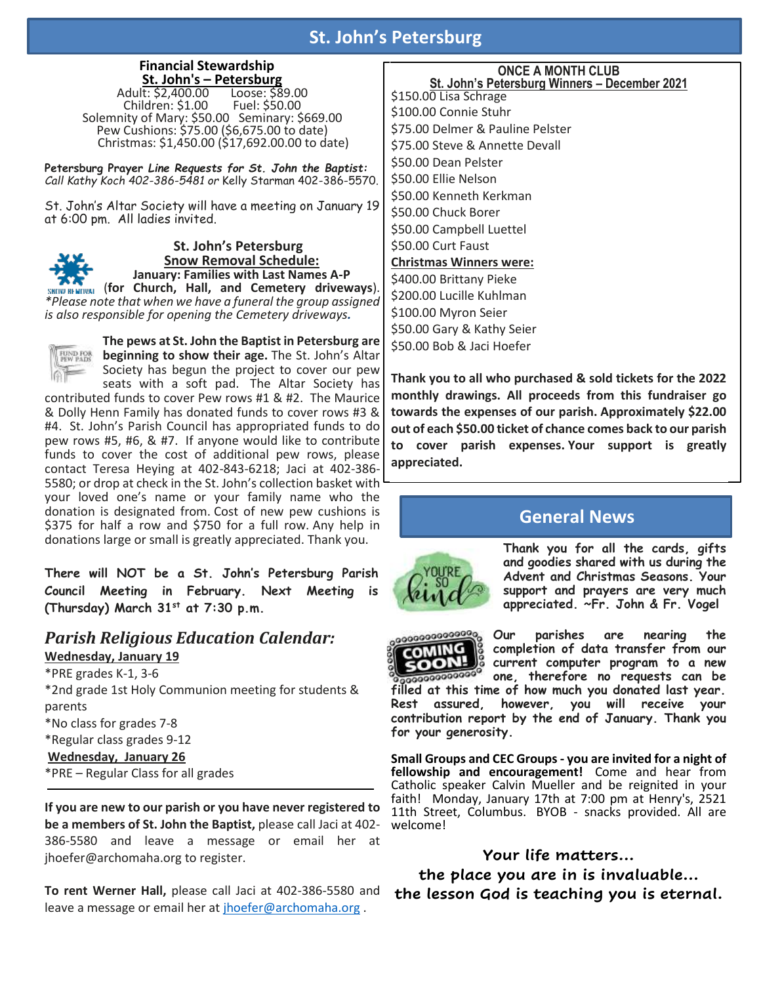# **St. John's Petersburg**

# **Financial Stewardship**

**St. John's – Petersburg**  Adult: \$2,400.00 Loose: \$89.00  $Children: $1.00$ Solemnity of Mary: \$50.00 Seminary: \$669.00 Pew Cushions: \$75.00 (\$6,675.00 to date) Christmas: \$1,450.00 (\$17,692.00.00 to date)

**Petersburg Prayer** *Line Requests for St. John the Baptist: Call Kathy Koch 402-386-5481 or* Kelly Starman 402-386-5570.

St. John's Altar Society will have a meeting on January 19 at 6:00 pm. All ladies invited.



**St. John's Petersburg Snow Removal Schedule: January: Families with Last Names A-P**

(**for Church, Hall, and Cemetery driveways**). *\*Please note that when we have a funeral the group assigned is also responsible for opening the Cemetery driveways.* 



**The pews at St. John the Baptist in Petersburg are beginning to show their age.** The St. John's Altar Society has begun the project to cover our pew

seats with a soft pad. The Altar Society has contributed funds to cover Pew rows #1 & #2. The Maurice & Dolly Henn Family has donated funds to cover rows #3 & #4. St. John's Parish Council has appropriated funds to do pew rows #5, #6, & #7. If anyone would like to contribute funds to cover the cost of additional pew rows, please contact Teresa Heying at 402-843-6218; Jaci at 402-386- 5580; or drop at check in the St. John's collection basket with your loved one's name or your family name who the donation is designated from. Cost of new pew cushions is \$375 for half a row and \$750 for a full row. Any help in donations large or small is greatly appreciated. Thank you.

**There will NOT be a St. John's Petersburg Parish Council Meeting in February. Next Meeting is (Thursday) March 31st at 7:30 p.m.**

### *Parish Religious Education Calendar:* **Wednesday, January 19**

\*PRE grades K-1, 3-6 \*2nd grade 1st Holy Communion meeting for students & parents \*No class for grades 7-8 \*Regular class grades 9-12 **Wednesday, January 26** \*PRE – Regular Class for all grades

**If you are new to our parish or you have never registered to be a members of St. John the Baptist,** please call Jaci at 402- 386-5580 and leave a message or email her at jhoefer@archomaha.org to register.

**To rent Werner Hall,** please call Jaci at 402-386-5580 and leave a message or email her at [jhoefer@archomaha.org](mailto:jhoefer@archomaha.org) .

### **ONCE A MONTH CLUB St. John's Petersburg Winners – December 2021**

\$150.00 Lisa Schrage \$100.00 Connie Stuhr \$75.00 Delmer & Pauline Pelster \$75.00 Steve & Annette Devall \$50.00 Dean Pelster \$50.00 Ellie Nelson \$50.00 Kenneth Kerkman \$50.00 Chuck Borer \$50.00 Campbell Luettel \$50.00 Curt Faust **Christmas Winners were:** \$400.00 Brittany Pieke \$200.00 Lucille Kuhlman \$100.00 Myron Seier \$50.00 Gary & Kathy Seier \$50.00 Bob & Jaci Hoefer

**Thank you to all who purchased & sold tickets for the 2022 monthly drawings. All proceeds from this fundraiser go towards the expenses of our parish. Approximately \$22.00 out of each \$50.00 ticket of chance comes back to our parish to cover parish expenses. Your support is greatly appreciated.**

# **General News**



**Thank you for all the cards, gifts and goodies shared with us during the Advent and Christmas Seasons. Your support and prayers are very much appreciated. ~Fr. John & Fr. Vogel**

**Our parishes are nearing the COMING completion of data transfer from our current computer program to a new**  oon 0000000000000 **one, therefore no requests can be filled at this time of how much you donated last year. Rest assured, however, you will receive your contribution report by the end of January. Thank you for your generosity.**

**Small Groups and CEC Groups - you are invited for a night of fellowship and encouragement!** Come and hear from Catholic speaker Calvin Mueller and be reignited in your faith! Monday, January 17th at 7:00 pm at Henry's, 2521 11th Street, Columbus. BYOB - snacks provided. All are welcome!

### **Your life matters…**

**the place you are in is invaluable… the lesson God is teaching you is eternal.**